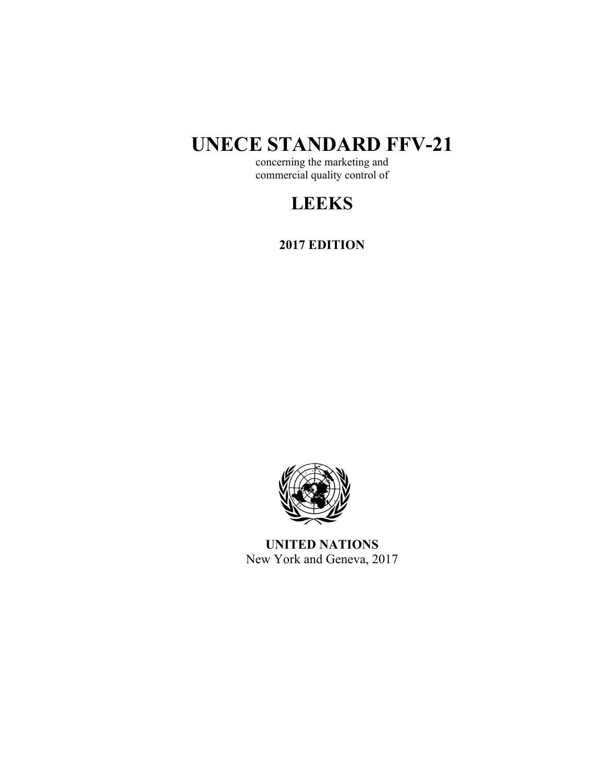# **UNECE STANDARD FFV-21**

concerning the marketing and commercial quality control of

## **LEEKS**

**2017 EDITION** 



**UNITED NATIONS**  New York and Geneva, 2017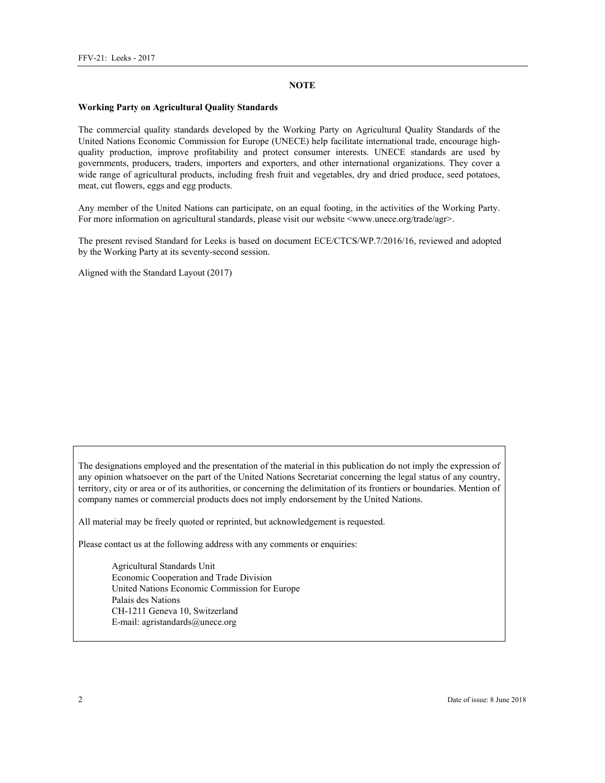#### **NOTE**

#### **Working Party on Agricultural Quality Standards**

The commercial quality standards developed by the Working Party on Agricultural Quality Standards of the United Nations Economic Commission for Europe (UNECE) help facilitate international trade, encourage highquality production, improve profitability and protect consumer interests. UNECE standards are used by governments, producers, traders, importers and exporters, and other international organizations. They cover a wide range of agricultural products, including fresh fruit and vegetables, dry and dried produce, seed potatoes, meat, cut flowers, eggs and egg products.

Any member of the United Nations can participate, on an equal footing, in the activities of the Working Party. For more information on agricultural standards, please visit our website <www.unece.org/trade/agr>.

The present revised Standard for Leeks is based on document ECE/CTCS/WP.7/2016/16, reviewed and adopted by the Working Party at its seventy-second session.

Aligned with the Standard Layout (2017)

The designations employed and the presentation of the material in this publication do not imply the expression of any opinion whatsoever on the part of the United Nations Secretariat concerning the legal status of any country, territory, city or area or of its authorities, or concerning the delimitation of its frontiers or boundaries. Mention of company names or commercial products does not imply endorsement by the United Nations.

All material may be freely quoted or reprinted, but acknowledgement is requested.

Please contact us at the following address with any comments or enquiries:

Agricultural Standards Unit Economic Cooperation and Trade Division United Nations Economic Commission for Europe Palais des Nations CH-1211 Geneva 10, Switzerland E-mail: agristandards@unece.org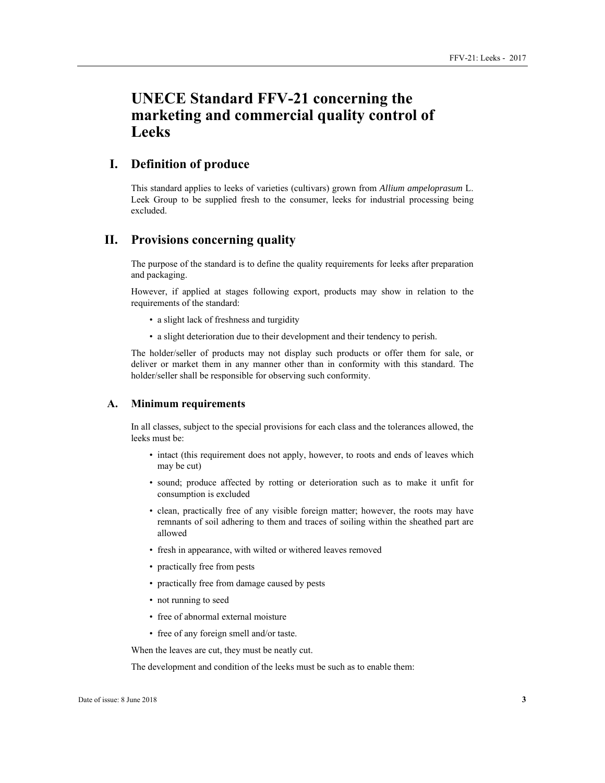## **UNECE Standard FFV-21 concerning the marketing and commercial quality control of Leeks**

## **I. Definition of produce**

This standard applies to leeks of varieties (cultivars) grown from *Allium ampeloprasum* L. Leek Group to be supplied fresh to the consumer, leeks for industrial processing being excluded.

## **II. Provisions concerning quality**

The purpose of the standard is to define the quality requirements for leeks after preparation and packaging.

However, if applied at stages following export, products may show in relation to the requirements of the standard:

- a slight lack of freshness and turgidity
- a slight deterioration due to their development and their tendency to perish.

The holder/seller of products may not display such products or offer them for sale, or deliver or market them in any manner other than in conformity with this standard. The holder/seller shall be responsible for observing such conformity.

#### **A. Minimum requirements**

In all classes, subject to the special provisions for each class and the tolerances allowed, the leeks must be:

- intact (this requirement does not apply, however, to roots and ends of leaves which may be cut)
- sound; produce affected by rotting or deterioration such as to make it unfit for consumption is excluded
- clean, practically free of any visible foreign matter; however, the roots may have remnants of soil adhering to them and traces of soiling within the sheathed part are allowed
- fresh in appearance, with wilted or withered leaves removed
- practically free from pests
- practically free from damage caused by pests
- not running to seed
- free of abnormal external moisture
- free of any foreign smell and/or taste.

When the leaves are cut, they must be neatly cut.

The development and condition of the leeks must be such as to enable them: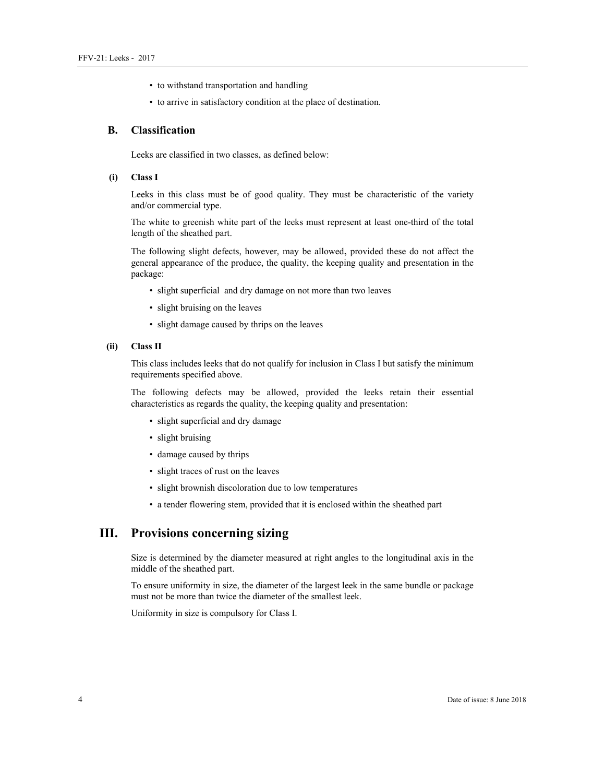- to withstand transportation and handling
- to arrive in satisfactory condition at the place of destination.

#### **B. Classification**

Leeks are classified in two classes, as defined below:

#### **(i) Class I**

Leeks in this class must be of good quality. They must be characteristic of the variety and/or commercial type.

The white to greenish white part of the leeks must represent at least one-third of the total length of the sheathed part.

The following slight defects, however, may be allowed, provided these do not affect the general appearance of the produce, the quality, the keeping quality and presentation in the package:

- slight superficial and dry damage on not more than two leaves
- slight bruising on the leaves
- slight damage caused by thrips on the leaves

#### **(ii) Class II**

This class includes leeks that do not qualify for inclusion in Class I but satisfy the minimum requirements specified above.

The following defects may be allowed, provided the leeks retain their essential characteristics as regards the quality, the keeping quality and presentation:

- slight superficial and dry damage
- slight bruising
- damage caused by thrips
- slight traces of rust on the leaves
- slight brownish discoloration due to low temperatures
- a tender flowering stem, provided that it is enclosed within the sheathed part

## **III. Provisions concerning sizing**

Size is determined by the diameter measured at right angles to the longitudinal axis in the middle of the sheathed part.

To ensure uniformity in size, the diameter of the largest leek in the same bundle or package must not be more than twice the diameter of the smallest leek.

Uniformity in size is compulsory for Class I.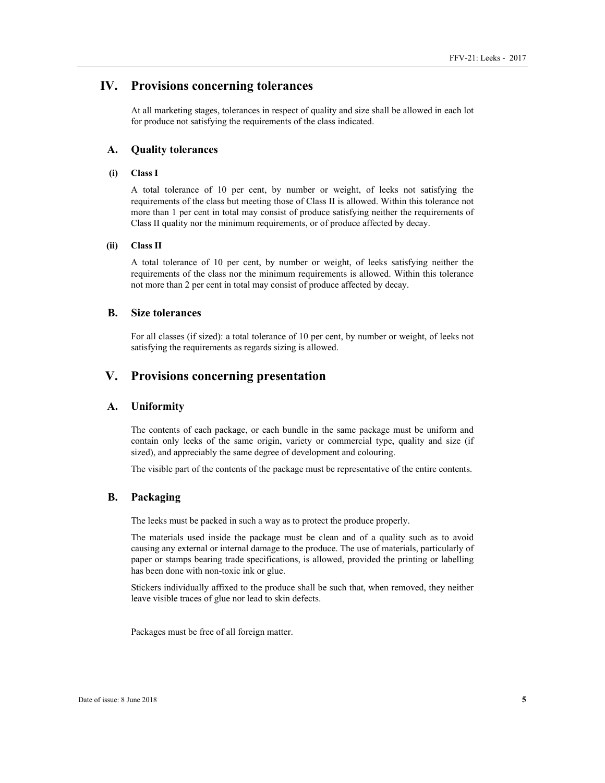## **IV. Provisions concerning tolerances**

At all marketing stages, tolerances in respect of quality and size shall be allowed in each lot for produce not satisfying the requirements of the class indicated.

#### **A. Quality tolerances**

#### **(i) Class I**

A total tolerance of 10 per cent, by number or weight, of leeks not satisfying the requirements of the class but meeting those of Class II is allowed. Within this tolerance not more than 1 per cent in total may consist of produce satisfying neither the requirements of Class II quality nor the minimum requirements, or of produce affected by decay.

#### **(ii) Class II**

A total tolerance of 10 per cent, by number or weight, of leeks satisfying neither the requirements of the class nor the minimum requirements is allowed. Within this tolerance not more than 2 per cent in total may consist of produce affected by decay.

#### **B. Size tolerances**

For all classes (if sized): a total tolerance of 10 per cent, by number or weight, of leeks not satisfying the requirements as regards sizing is allowed.

## **V. Provisions concerning presentation**

#### **A. Uniformity**

The contents of each package, or each bundle in the same package must be uniform and contain only leeks of the same origin, variety or commercial type, quality and size (if sized), and appreciably the same degree of development and colouring.

The visible part of the contents of the package must be representative of the entire contents.

#### **B. Packaging**

The leeks must be packed in such a way as to protect the produce properly.

The materials used inside the package must be clean and of a quality such as to avoid causing any external or internal damage to the produce. The use of materials, particularly of paper or stamps bearing trade specifications, is allowed, provided the printing or labelling has been done with non-toxic ink or glue.

Stickers individually affixed to the produce shall be such that, when removed, they neither leave visible traces of glue nor lead to skin defects.

Packages must be free of all foreign matter.